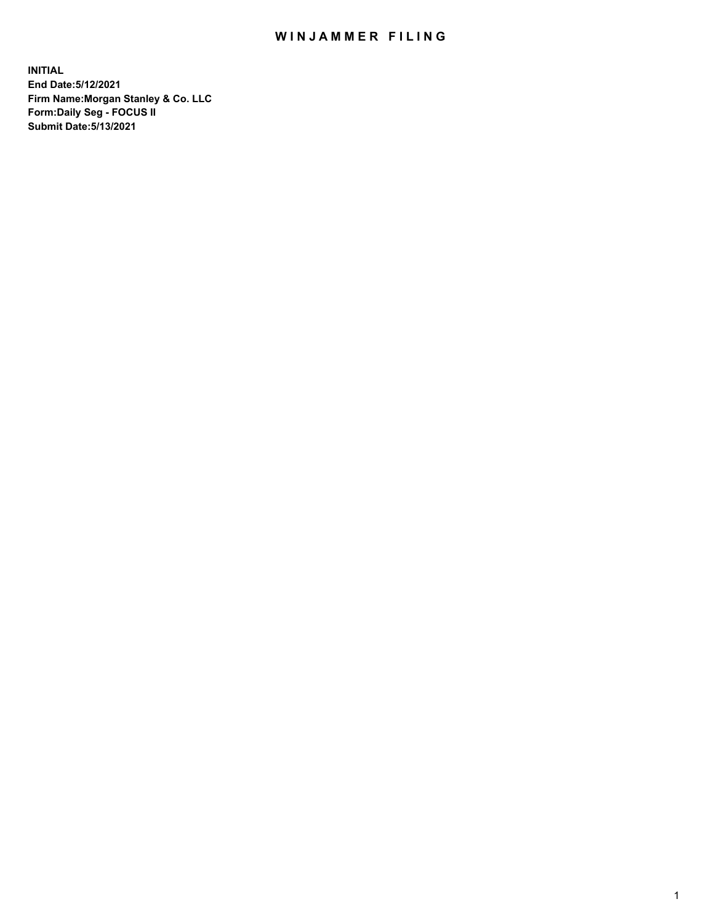## WIN JAMMER FILING

**INITIAL End Date:5/12/2021 Firm Name:Morgan Stanley & Co. LLC Form:Daily Seg - FOCUS II Submit Date:5/13/2021**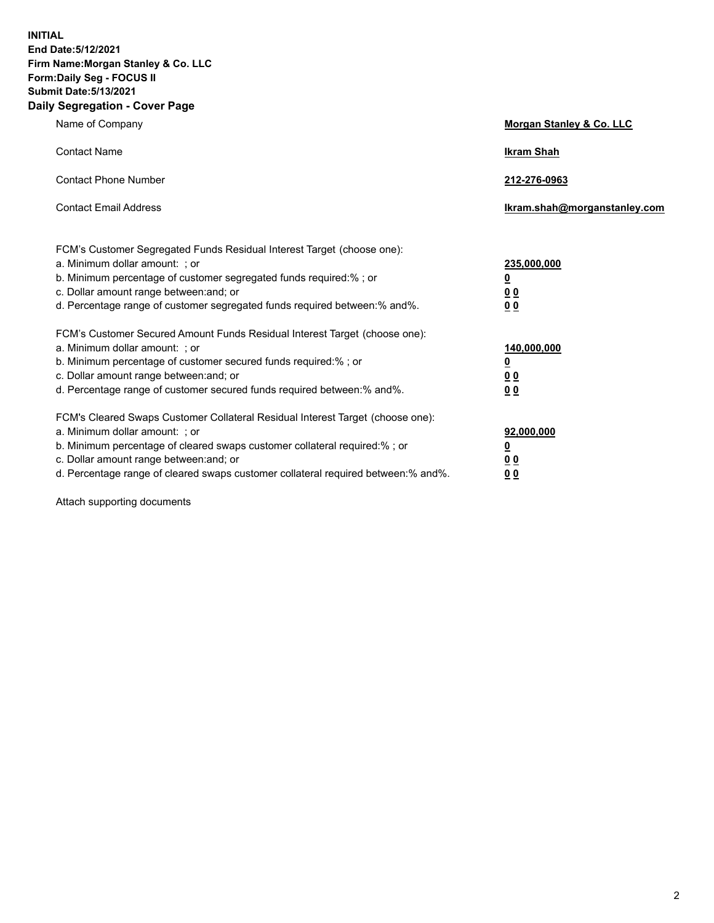**INITIAL End Date:5/12/2021 Firm Name:Morgan Stanley & Co. LLC Form:Daily Seg - FOCUS II Submit Date:5/13/2021 Daily Segregation - Cover Page**

| Name of Company                                                                                                                                                                                                                                                                                                                | Morgan Stanley & Co. LLC                                |
|--------------------------------------------------------------------------------------------------------------------------------------------------------------------------------------------------------------------------------------------------------------------------------------------------------------------------------|---------------------------------------------------------|
| <b>Contact Name</b>                                                                                                                                                                                                                                                                                                            | <b>Ikram Shah</b>                                       |
| <b>Contact Phone Number</b>                                                                                                                                                                                                                                                                                                    | 212-276-0963                                            |
| <b>Contact Email Address</b>                                                                                                                                                                                                                                                                                                   | Ikram.shah@morganstanley.com                            |
| FCM's Customer Segregated Funds Residual Interest Target (choose one):<br>a. Minimum dollar amount: ; or<br>b. Minimum percentage of customer segregated funds required:% ; or<br>c. Dollar amount range between: and; or<br>d. Percentage range of customer segregated funds required between: % and %.                       | 235,000,000<br><u>0</u><br><u>00</u><br><u>00</u>       |
| FCM's Customer Secured Amount Funds Residual Interest Target (choose one):<br>a. Minimum dollar amount: ; or<br>b. Minimum percentage of customer secured funds required:% ; or<br>c. Dollar amount range between: and; or<br>d. Percentage range of customer secured funds required between:% and%.                           | 140,000,000<br><u>0</u><br><u>0 0</u><br>0 <sub>0</sub> |
| FCM's Cleared Swaps Customer Collateral Residual Interest Target (choose one):<br>a. Minimum dollar amount: ; or<br>b. Minimum percentage of cleared swaps customer collateral required:% ; or<br>c. Dollar amount range between: and; or<br>d. Percentage range of cleared swaps customer collateral required between:% and%. | 92,000,000<br><u>0</u><br><u>00</u><br>00               |

Attach supporting documents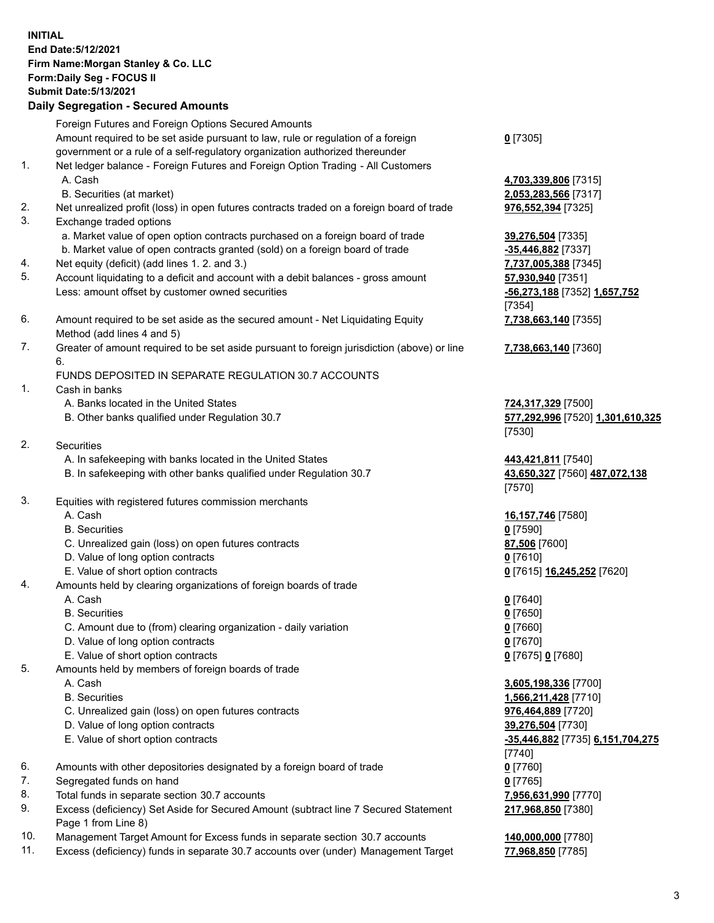## **INITIAL End Date:5/12/2021 Firm Name:Morgan Stanley & Co. LLC Form:Daily Seg - FOCUS II Submit Date:5/13/2021**

**Daily Segregation - Secured Amounts** Foreign Futures and Foreign Options Secured Amounts Amount required to be set aside pursuant to law, rule or regulation of a foreign government or a rule of a self-regulatory organization authorized thereunder 1. Net ledger balance - Foreign Futures and Foreign Option Trading - All Customers A. Cash **4,703,339,806** [7315] B. Securities (at market) **2,053,283,566** [7317] 2. Net unrealized profit (loss) in open futures contracts traded on a foreign board of trade **976,552,394** [7325] 3. Exchange traded options a. Market value of open option contracts purchased on a foreign board of trade **39,276,504** [7335] b. Market value of open contracts granted (sold) on a foreign board of trade **-35,446,882** [7337] 4. Net equity (deficit) (add lines 1. 2. and 3.) **7,737,005,388** [7345] 5. Account liquidating to a deficit and account with a debit balances - gross amount **57,930,940** [7351] Less: amount offset by customer owned securities **-56,273,188** [7352] **1,657,752** 6. Amount required to be set aside as the secured amount - Net Liquidating Equity Method (add lines 4 and 5) 7. Greater of amount required to be set aside pursuant to foreign jurisdiction (above) or line 6. FUNDS DEPOSITED IN SEPARATE REGULATION 30.7 ACCOUNTS 1. Cash in banks A. Banks located in the United States **724,317,329** [7500] B. Other banks qualified under Regulation 30.7 **577,292,996** [7520] **1,301,610,325** 2. Securities A. In safekeeping with banks located in the United States **443,421,811** [7540] B. In safekeeping with other banks qualified under Regulation 30.7 **43,650,327** [7560] **487,072,138** 3. Equities with registered futures commission merchants A. Cash **16,157,746** [7580] B. Securities **0** [7590] C. Unrealized gain (loss) on open futures contracts **87,506** [7600] D. Value of long option contracts **0** [7610] E. Value of short option contracts **0** [7615] **16,245,252** [7620] 4. Amounts held by clearing organizations of foreign boards of trade A. Cash **0** [7640] B. Securities **0** [7650]

- 
- C. Amount due to (from) clearing organization daily variation **0** [7660]
- D. Value of long option contracts **0** [7670]
- E. Value of short option contracts **0** [7675] **0** [7680]
- 5. Amounts held by members of foreign boards of trade
	-
	-
	- C. Unrealized gain (loss) on open futures contracts **976,464,889** [7720]
	- D. Value of long option contracts **39,276,504** [7730]
	-
- 6. Amounts with other depositories designated by a foreign board of trade **0** [7760]
- 7. Segregated funds on hand **0** [7765]
- 8. Total funds in separate section 30.7 accounts **7,956,631,990** [7770]
- 9. Excess (deficiency) Set Aside for Secured Amount (subtract line 7 Secured Statement Page 1 from Line 8)
- 10. Management Target Amount for Excess funds in separate section 30.7 accounts **140,000,000** [7780]
- 11. Excess (deficiency) funds in separate 30.7 accounts over (under) Management Target **77,968,850** [7785]

**0** [7305]

[7354] **7,738,663,140** [7355]

**7,738,663,140** [7360]

[7530]

[7570]

 A. Cash **3,605,198,336** [7700] B. Securities **1,566,211,428** [7710] E. Value of short option contracts **-35,446,882** [7735] **6,151,704,275** [7740] **217,968,850** [7380]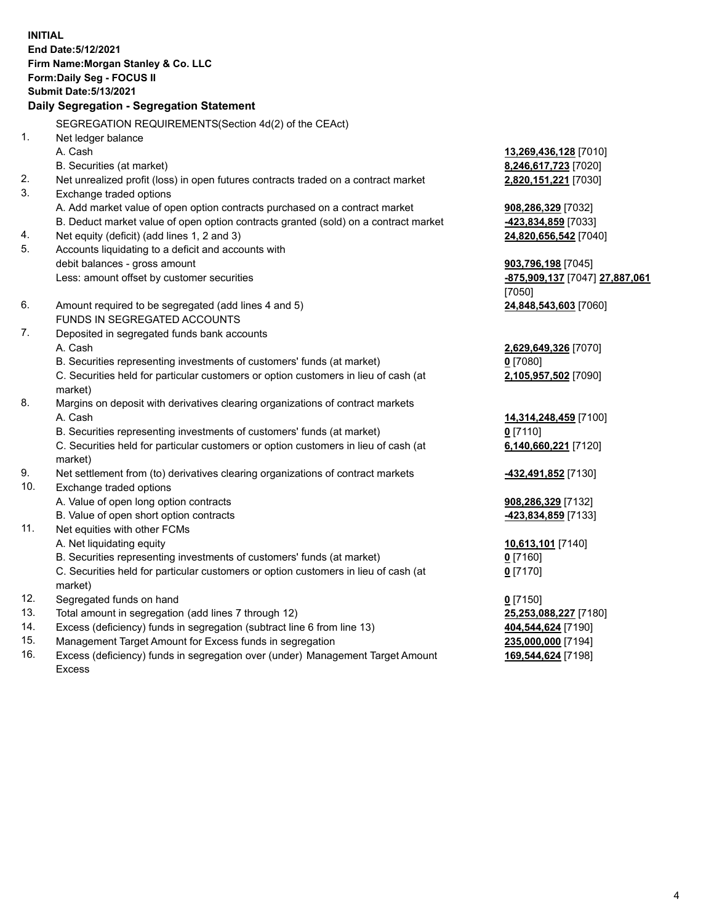**INITIAL End Date:5/12/2021 Firm Name:Morgan Stanley & Co. LLC Form:Daily Seg - FOCUS II Submit Date:5/13/2021 Daily Segregation - Segregation Statement** SEGREGATION REQUIREMENTS(Section 4d(2) of the CEAct) 1. Net ledger balance A. Cash **13,269,436,128** [7010] B. Securities (at market) **8,246,617,723** [7020] 2. Net unrealized profit (loss) in open futures contracts traded on a contract market **2,820,151,221** [7030] 3. Exchange traded options A. Add market value of open option contracts purchased on a contract market **908,286,329** [7032] B. Deduct market value of open option contracts granted (sold) on a contract market **-423,834,859** [7033] 4. Net equity (deficit) (add lines 1, 2 and 3) **24,820,656,542** [7040] 5. Accounts liquidating to a deficit and accounts with debit balances - gross amount **903,796,198** [7045] Less: amount offset by customer securities **-875,909,137** [7047] **27,887,061** [7050] 6. Amount required to be segregated (add lines 4 and 5) **24,848,543,603** [7060] FUNDS IN SEGREGATED ACCOUNTS 7. Deposited in segregated funds bank accounts A. Cash **2,629,649,326** [7070] B. Securities representing investments of customers' funds (at market) **0** [7080] C. Securities held for particular customers or option customers in lieu of cash (at market) **2,105,957,502** [7090] 8. Margins on deposit with derivatives clearing organizations of contract markets A. Cash **14,314,248,459** [7100] B. Securities representing investments of customers' funds (at market) **0** [7110] C. Securities held for particular customers or option customers in lieu of cash (at market) **6,140,660,221** [7120] 9. Net settlement from (to) derivatives clearing organizations of contract markets **-432,491,852** [7130] 10. Exchange traded options A. Value of open long option contracts **908,286,329** [7132] B. Value of open short option contracts **-423,834,859** [7133] 11. Net equities with other FCMs A. Net liquidating equity **10,613,101** [7140] B. Securities representing investments of customers' funds (at market) **0** [7160] C. Securities held for particular customers or option customers in lieu of cash (at market) **0** [7170] 12. Segregated funds on hand **0** [7150] 13. Total amount in segregation (add lines 7 through 12) **25,253,088,227** [7180] 14. Excess (deficiency) funds in segregation (subtract line 6 from line 13) **404,544,624** [7190] 15. Management Target Amount for Excess funds in segregation **235,000,000** [7194]

16. Excess (deficiency) funds in segregation over (under) Management Target Amount Excess

**169,544,624** [7198]